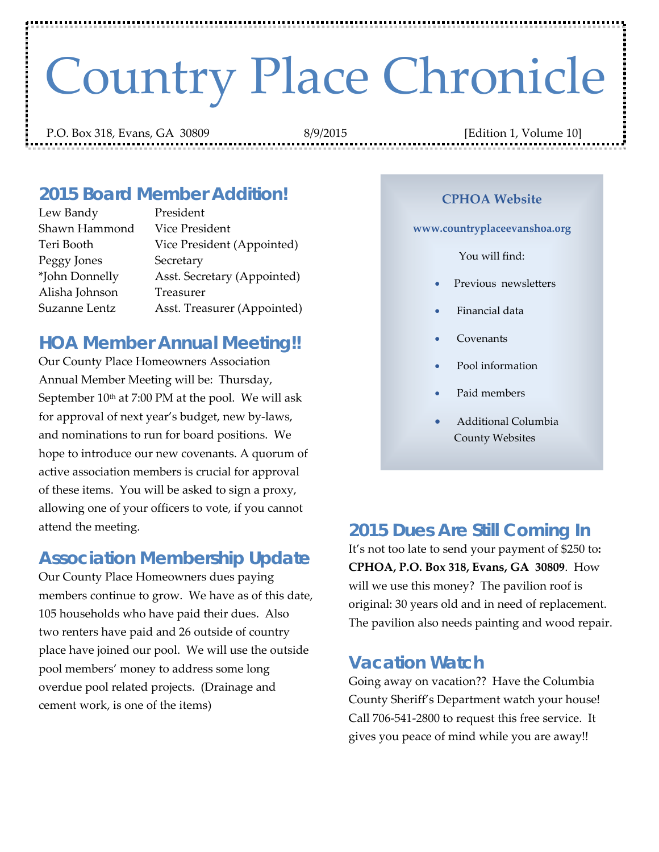# Country Place Chronicle

P.O. Box 318, Evans, GA 30809 8/9/2015 [Edition 1, Volume 10]

#### *2015 Board Member Addition!*

| President                   |
|-----------------------------|
| Vice President              |
| Vice President (Appointed)  |
| Secretary                   |
| Asst. Secretary (Appointed) |
| Treasurer                   |
| Asst. Treasurer (Appointed) |
|                             |

#### *HOA Member Annual Meeting!!*

Our County Place Homeowners Association Annual Member Meeting will be: Thursday, September  $10<sup>th</sup>$  at 7:00 PM at the pool. We will ask for approval of next year's budget, new by‐laws, and nominations to run for board positions. We hope to introduce our new covenants. A quorum of active association members is crucial for approval of these items. You will be asked to sign a proxy, allowing one of your officers to vote, if you cannot attend the meeting.

### *Association Membership Update*

Our County Place Homeowners dues paying members continue to grow. We have as of this date, 105 households who have paid their dues. Also two renters have paid and 26 outside of country place have joined our pool. We will use the outside pool members' money to address some long overdue pool related projects. (Drainage and cement work, is one of the items)

#### **CPHOA Website**

#### **www.countryplaceevanshoa.org**

You will find:

- Previous newsletters
- Financial data
- Covenants
- Pool information
- Paid members
- Additional Columbia County Websites

#### *2015 Dues Are Still Coming In*

It's not too late to send your payment of \$250 to**: CPHOA, P.O. Box 318, Evans, GA 30809**. How will we use this money? The pavilion roof is original: 30 years old and in need of replacement. The pavilion also needs painting and wood repair.

#### *Vacation Watch*

Going away on vacation?? Have the Columbia County Sheriff's Department watch your house! Call 706‐541‐2800 to request this free service. It gives you peace of mind while you are away!!